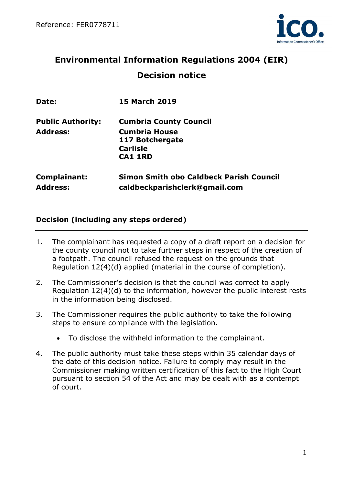

# **Environmental Information Regulations 2004 (EIR) Decision notice**

| Date:                           | <b>15 March 2019</b>                                                            |
|---------------------------------|---------------------------------------------------------------------------------|
| <b>Public Authority:</b>        | <b>Cumbria County Council</b>                                                   |
| <b>Address:</b>                 | <b>Cumbria House</b>                                                            |
|                                 | 117 Botchergate                                                                 |
|                                 | <b>Carlisle</b>                                                                 |
|                                 | <b>CA1 1RD</b>                                                                  |
| Complainant:<br><b>Address:</b> | <b>Simon Smith obo Caldbeck Parish Council</b><br>caldbeckparishclerk@gmail.com |

## **Decision (including any steps ordered)**

- 1. The complainant has requested a copy of a draft report on a decision for the county council not to take further steps in respect of the creation of a footpath. The council refused the request on the grounds that Regulation 12(4)(d) applied (material in the course of completion).
- 2. The Commissioner's decision is that the council was correct to apply Regulation 12(4)(d) to the information, however the public interest rests in the information being disclosed.
- 3. The Commissioner requires the public authority to take the following steps to ensure compliance with the legislation.
	- To disclose the withheld information to the complainant.
- 4. The public authority must take these steps within 35 calendar days of the date of this decision notice. Failure to comply may result in the Commissioner making written certification of this fact to the High Court pursuant to section 54 of the Act and may be dealt with as a contempt of court.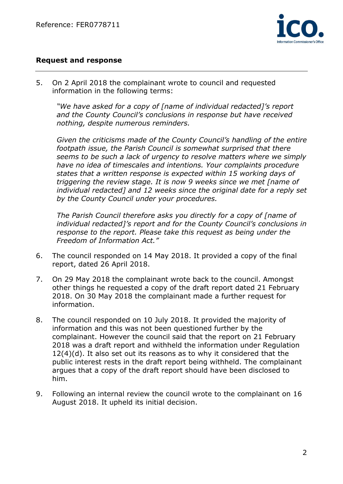

## **Request and response**

5. On 2 April 2018 the complainant wrote to council and requested information in the following terms:

*"We have asked for a copy of [name of individual redacted]'s report and the County Council's conclusions in response but have received nothing, despite numerous reminders.*

*Given the criticisms made of the County Council's handling of the entire footpath issue, the Parish Council is somewhat surprised that there seems to be such a lack of urgency to resolve matters where we simply have no idea of timescales and intentions. Your complaints procedure states that a written response is expected within 15 working days of triggering the review stage. It is now 9 weeks since we met [name of individual redacted] and 12 weeks since the original date for a reply set by the County Council under your procedures.*

*The Parish Council therefore asks you directly for a copy of [name of individual redacted]'s report and for the County Council's conclusions in response to the report. Please take this request as being under the Freedom of Information Act."*

- 6. The council responded on 14 May 2018. It provided a copy of the final report, dated 26 April 2018.
- 7. On 29 May 2018 the complainant wrote back to the council. Amongst other things he requested a copy of the draft report dated 21 February 2018. On 30 May 2018 the complainant made a further request for information.
- 8. The council responded on 10 July 2018. It provided the majority of information and this was not been questioned further by the complainant. However the council said that the report on 21 February 2018 was a draft report and withheld the information under Regulation 12(4)(d). It also set out its reasons as to why it considered that the public interest rests in the draft report being withheld. The complainant argues that a copy of the draft report should have been disclosed to him.
- 9. Following an internal review the council wrote to the complainant on 16 August 2018. It upheld its initial decision.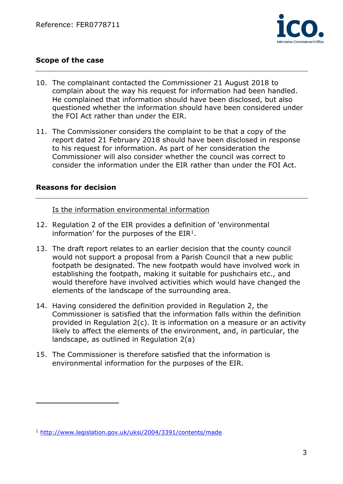

# **Scope of the case**

- 10. The complainant contacted the Commissioner 21 August 2018 to complain about the way his request for information had been handled. He complained that information should have been disclosed, but also questioned whether the information should have been considered under the FOI Act rather than under the EIR.
- 11. The Commissioner considers the complaint to be that a copy of the report dated 21 February 2018 should have been disclosed in response to his request for information. As part of her consideration the Commissioner will also consider whether the council was correct to consider the information under the EIR rather than under the FOI Act.

#### **Reasons for decision**

 $\overline{a}$ 

Is the information environmental information

- 12. Regulation 2 of the EIR provides a definition of 'environmental information' for the purposes of the  $EIR<sup>1</sup>$ .
- 13. The draft report relates to an earlier decision that the county council would not support a proposal from a Parish Council that a new public footpath be designated. The new footpath would have involved work in establishing the footpath, making it suitable for pushchairs etc., and would therefore have involved activities which would have changed the elements of the landscape of the surrounding area.
- 14. Having considered the definition provided in Regulation 2, the Commissioner is satisfied that the information falls within the definition provided in Regulation 2(c). It is information on a measure or an activity likely to affect the elements of the environment, and, in particular, the landscape, as outlined in Regulation 2(a)
- 15. The Commissioner is therefore satisfied that the information is environmental information for the purposes of the EIR.

<sup>1</sup> <http://www.legislation.gov.uk/uksi/2004/3391/contents/made>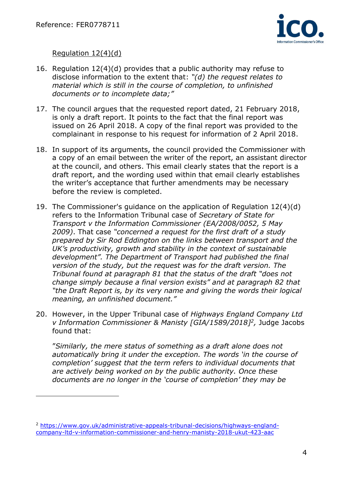$\overline{a}$ 



## Regulation 12(4)(d)

- 16. Regulation 12(4)(d) provides that a public authority may refuse to disclose information to the extent that: *"(d) the request relates to material which is still in the course of completion, to unfinished documents or to incomplete data;"*
- 17. The council argues that the requested report dated, 21 February 2018, is only a draft report. It points to the fact that the final report was issued on 26 April 2018. A copy of the final report was provided to the complainant in response to his request for information of 2 April 2018.
- 18. In support of its arguments, the council provided the Commissioner with a copy of an email between the writer of the report, an assistant director at the council, and others. This email clearly states that the report is a draft report, and the wording used within that email clearly establishes the writer's acceptance that further amendments may be necessary before the review is completed.
- 19. The Commissioner's guidance on the application of Regulation 12(4)(d) refers to the Information Tribunal case of *Secretary of State for Transport v the Information Commissioner (EA/2008/0052, 5 May 2009)*. That case *"concerned a request for the first draft of a study prepared by Sir Rod Eddington on the links between transport and the UK's productivity, growth and stability in the context of sustainable development". The Department of Transport had published the final version of the study, but the request was for the draft version. The Tribunal found at paragraph 81 that the status of the draft "does not change simply because a final version exists" and at paragraph 82 that "the Draft Report is, by its very name and giving the words their logical meaning, an unfinished document."*
- 20. However, in the Upper Tribunal case of *Highways England Company Ltd v Information Commissioner & Manisty [GIA/1589/2018]<sup>2</sup> ,* Judge Jacobs found that:

"*Similarly, the mere status of something as a draft alone does not automatically bring it under the exception. The words 'in the course of completion' suggest that the term refers to individual documents that are actively being worked on by the public authority. Once these documents are no longer in the 'course of completion' they may be* 

<sup>2</sup> [https://www.gov.uk/administrative-appeals-tribunal-decisions/highways-england](https://www.gov.uk/administrative-appeals-tribunal-decisions/highways-england-company-ltd-v-information-commissioner-and-henry-manisty-2018-ukut-423-aac)[company-ltd-v-information-commissioner-and-henry-manisty-2018-ukut-423-aac](https://www.gov.uk/administrative-appeals-tribunal-decisions/highways-england-company-ltd-v-information-commissioner-and-henry-manisty-2018-ukut-423-aac)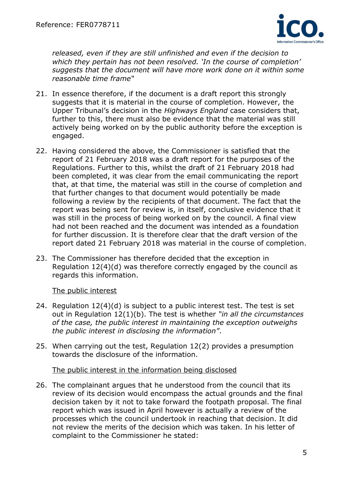

*released, even if they are still unfinished and even if the decision to which they pertain has not been resolved. 'In the course of completion' suggests that the document will have more work done on it within some reasonable time frame"*

- 21. In essence therefore, if the document is a draft report this strongly suggests that it is material in the course of completion. However, the Upper Tribunal's decision in the *Highways England* case considers that, further to this, there must also be evidence that the material was still actively being worked on by the public authority before the exception is engaged.
- 22. Having considered the above, the Commissioner is satisfied that the report of 21 February 2018 was a draft report for the purposes of the Regulations. Further to this, whilst the draft of 21 February 2018 had been completed, it was clear from the email communicating the report that, at that time, the material was still in the course of completion and that further changes to that document would potentially be made following a review by the recipients of that document. The fact that the report was being sent for review is, in itself, conclusive evidence that it was still in the process of being worked on by the council. A final view had not been reached and the document was intended as a foundation for further discussion. It is therefore clear that the draft version of the report dated 21 February 2018 was material in the course of completion.
- 23. The Commissioner has therefore decided that the exception in Regulation 12(4)(d) was therefore correctly engaged by the council as regards this information.

#### The public interest

- 24. Regulation 12(4)(d) is subject to a public interest test. The test is set out in Regulation 12(1)(b). The test is whether *"in all the circumstances of the case, the public interest in maintaining the exception outweighs the public interest in disclosing the information"*.
- 25. When carrying out the test, Regulation 12(2) provides a presumption towards the disclosure of the information.

#### The public interest in the information being disclosed

26. The complainant argues that he understood from the council that its review of its decision would encompass the actual grounds and the final decision taken by it not to take forward the footpath proposal. The final report which was issued in April however is actually a review of the processes which the council undertook in reaching that decision. It did not review the merits of the decision which was taken. In his letter of complaint to the Commissioner he stated: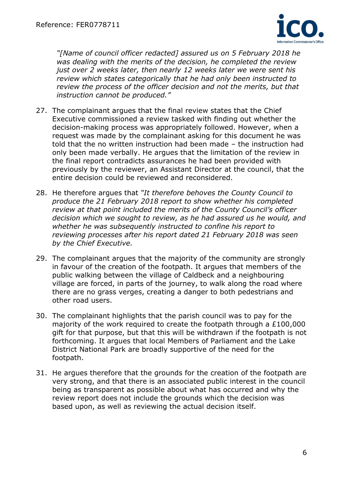

*"[Name of council officer redacted] assured us on 5 February 2018 he was dealing with the merits of the decision, he completed the review just over 2 weeks later, then nearly 12 weeks later we were sent his review which states categorically that he had only been instructed to review the process of the officer decision and not the merits, but that instruction cannot be produced."*

- 27. The complainant argues that the final review states that the Chief Executive commissioned a review tasked with finding out whether the decision-making process was appropriately followed. However, when a request was made by the complainant asking for this document he was told that the no written instruction had been made – the instruction had only been made verbally. He argues that the limitation of the review in the final report contradicts assurances he had been provided with previously by the reviewer, an Assistant Director at the council, that the entire decision could be reviewed and reconsidered.
- 28. He therefore argues that *"It therefore behoves the County Council to produce the 21 February 2018 report to show whether his completed review at that point included the merits of the County Council's officer decision which we sought to review, as he had assured us he would, and whether he was subsequently instructed to confine his report to reviewing processes after his report dated 21 February 2018 was seen by the Chief Executive.*
- 29. The complainant argues that the majority of the community are strongly in favour of the creation of the footpath. It argues that members of the public walking between the village of Caldbeck and a neighbouring village are forced, in parts of the journey, to walk along the road where there are no grass verges, creating a danger to both pedestrians and other road users.
- 30. The complainant highlights that the parish council was to pay for the majority of the work required to create the footpath through a £100,000 gift for that purpose, but that this will be withdrawn if the footpath is not forthcoming. It argues that local Members of Parliament and the Lake District National Park are broadly supportive of the need for the footpath.
- 31. He argues therefore that the grounds for the creation of the footpath are very strong, and that there is an associated public interest in the council being as transparent as possible about what has occurred and why the review report does not include the grounds which the decision was based upon, as well as reviewing the actual decision itself.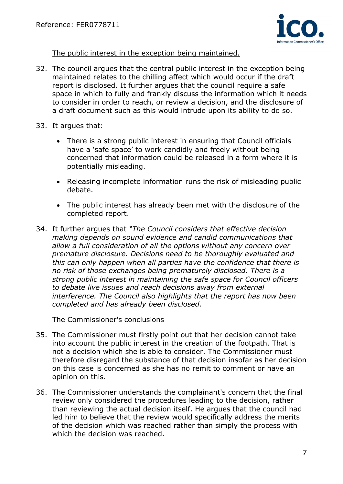

The public interest in the exception being maintained.

- 32. The council argues that the central public interest in the exception being maintained relates to the chilling affect which would occur if the draft report is disclosed. It further argues that the council require a safe space in which to fully and frankly discuss the information which it needs to consider in order to reach, or review a decision, and the disclosure of a draft document such as this would intrude upon its ability to do so.
- 33. It argues that:
	- There is a strong public interest in ensuring that Council officials have a 'safe space' to work candidly and freely without being concerned that information could be released in a form where it is potentially misleading.
	- Releasing incomplete information runs the risk of misleading public debate.
	- The public interest has already been met with the disclosure of the completed report.
- 34. It further argues that *"The Council considers that effective decision making depends on sound evidence and candid communications that allow a full consideration of all the options without any concern over premature disclosure. Decisions need to be thoroughly evaluated and this can only happen when all parties have the confidence that there is no risk of those exchanges being prematurely disclosed. There is a strong public interest in maintaining the safe space for Council officers to debate live issues and reach decisions away from external interference. The Council also highlights that the report has now been completed and has already been disclosed.*

The Commissioner's conclusions

- 35. The Commissioner must firstly point out that her decision cannot take into account the public interest in the creation of the footpath. That is not a decision which she is able to consider. The Commissioner must therefore disregard the substance of that decision insofar as her decision on this case is concerned as she has no remit to comment or have an opinion on this.
- 36. The Commissioner understands the complainant's concern that the final review only considered the procedures leading to the decision, rather than reviewing the actual decision itself. He argues that the council had led him to believe that the review would specifically address the merits of the decision which was reached rather than simply the process with which the decision was reached.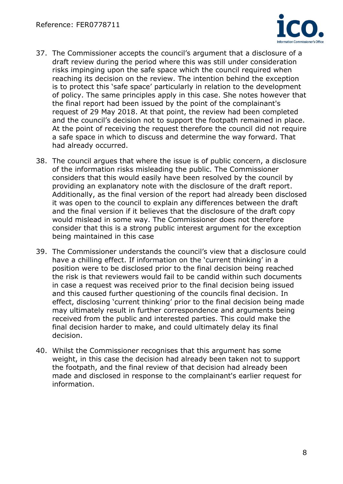

- 37. The Commissioner accepts the council's argument that a disclosure of a draft review during the period where this was still under consideration risks impinging upon the safe space which the council required when reaching its decision on the review. The intention behind the exception is to protect this 'safe space' particularly in relation to the development of policy. The same principles apply in this case. She notes however that the final report had been issued by the point of the complainant's request of 29 May 2018. At that point, the review had been completed and the council's decision not to support the footpath remained in place. At the point of receiving the request therefore the council did not require a safe space in which to discuss and determine the way forward. That had already occurred.
- 38. The council argues that where the issue is of public concern, a disclosure of the information risks misleading the public. The Commissioner considers that this would easily have been resolved by the council by providing an explanatory note with the disclosure of the draft report. Additionally, as the final version of the report had already been disclosed it was open to the council to explain any differences between the draft and the final version if it believes that the disclosure of the draft copy would mislead in some way. The Commissioner does not therefore consider that this is a strong public interest argument for the exception being maintained in this case
- 39. The Commissioner understands the council's view that a disclosure could have a chilling effect. If information on the 'current thinking' in a position were to be disclosed prior to the final decision being reached the risk is that reviewers would fail to be candid within such documents in case a request was received prior to the final decision being issued and this caused further questioning of the councils final decision. In effect, disclosing 'current thinking' prior to the final decision being made may ultimately result in further correspondence and arguments being received from the public and interested parties. This could make the final decision harder to make, and could ultimately delay its final decision.
- 40. Whilst the Commissioner recognises that this argument has some weight, in this case the decision had already been taken not to support the footpath, and the final review of that decision had already been made and disclosed in response to the complainant's earlier request for information.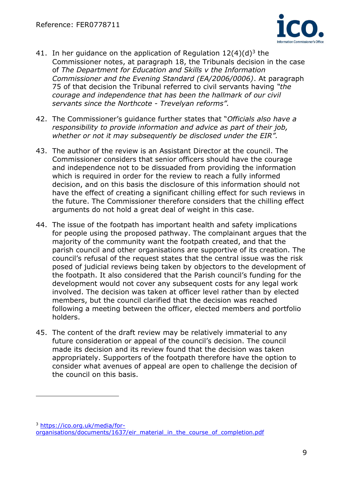

- 41. In her guidance on the application of Regulation  $12(4)(d)^3$  the Commissioner notes, at paragraph 18, the Tribunals decision in the case of *The Department for Education and Skills v the Information Commissioner and the Evening Standard (EA/2006/0006)*. At paragraph 75 of that decision the Tribunal referred to civil servants having *"the courage and independence that has been the hallmark of our civil servants since the Northcote - Trevelyan reforms".*
- 42. The Commissioner's guidance further states that "*Officials also have a responsibility to provide information and advice as part of their job, whether or not it may subsequently be disclosed under the EIR".*
- 43. The author of the review is an Assistant Director at the council. The Commissioner considers that senior officers should have the courage and independence not to be dissuaded from providing the information which is required in order for the review to reach a fully informed decision, and on this basis the disclosure of this information should not have the effect of creating a significant chilling effect for such reviews in the future. The Commissioner therefore considers that the chilling effect arguments do not hold a great deal of weight in this case.
- 44. The issue of the footpath has important health and safety implications for people using the proposed pathway. The complainant argues that the majority of the community want the footpath created, and that the parish council and other organisations are supportive of its creation. The council's refusal of the request states that the central issue was the risk posed of judicial reviews being taken by objectors to the development of the footpath. It also considered that the Parish council's funding for the development would not cover any subsequent costs for any legal work involved. The decision was taken at officer level rather than by elected members, but the council clarified that the decision was reached following a meeting between the officer, elected members and portfolio holders.
- 45. The content of the draft review may be relatively immaterial to any future consideration or appeal of the council's decision. The council made its decision and its review found that the decision was taken appropriately. Supporters of the footpath therefore have the option to consider what avenues of appeal are open to challenge the decision of the council on this basis.

<sup>3</sup> [https://ico.org.uk/media/for-](https://ico.org.uk/media/for-organisations/documents/1637/eir_material_in_the_course_of_completion.pdf)

 $\overline{a}$ 

[organisations/documents/1637/eir\\_material\\_in\\_the\\_course\\_of\\_completion.pdf](https://ico.org.uk/media/for-organisations/documents/1637/eir_material_in_the_course_of_completion.pdf)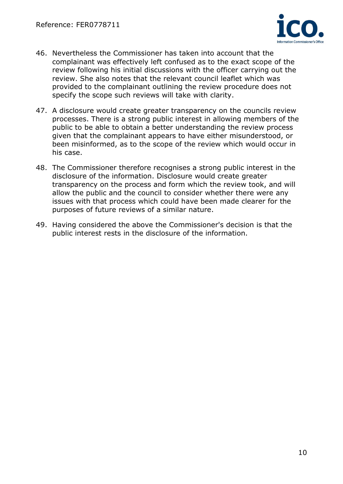

- 46. Nevertheless the Commissioner has taken into account that the complainant was effectively left confused as to the exact scope of the review following his initial discussions with the officer carrying out the review. She also notes that the relevant council leaflet which was provided to the complainant outlining the review procedure does not specify the scope such reviews will take with clarity.
- 47. A disclosure would create greater transparency on the councils review processes. There is a strong public interest in allowing members of the public to be able to obtain a better understanding the review process given that the complainant appears to have either misunderstood, or been misinformed, as to the scope of the review which would occur in his case.
- 48. The Commissioner therefore recognises a strong public interest in the disclosure of the information. Disclosure would create greater transparency on the process and form which the review took, and will allow the public and the council to consider whether there were any issues with that process which could have been made clearer for the purposes of future reviews of a similar nature.
- 49. Having considered the above the Commissioner's decision is that the public interest rests in the disclosure of the information.